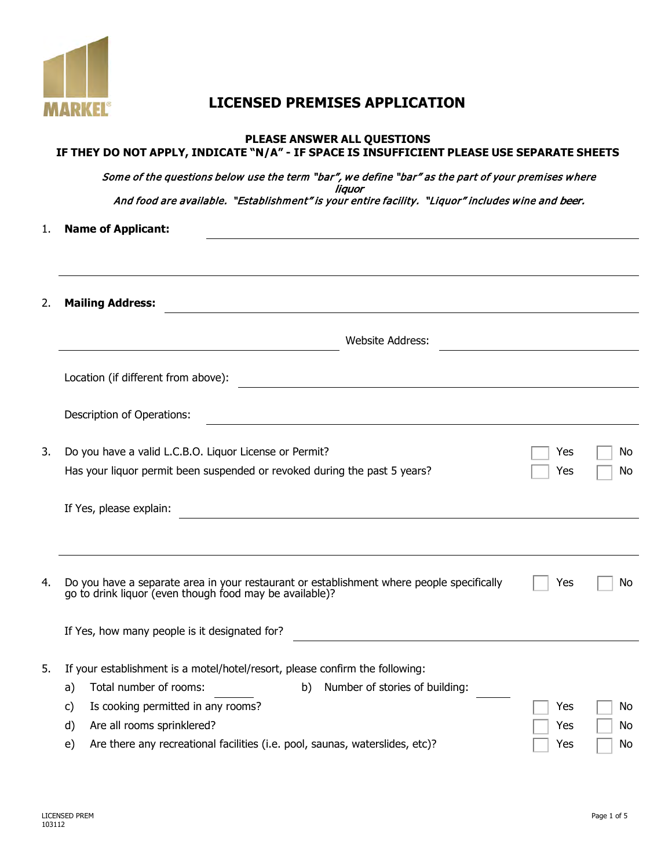

## **LICENSED PREMISES APPLICATION**

|    | PLEASE ANSWER ALL QUESTIONS<br>IF THEY DO NOT APPLY, INDICATE "N/A" - IF SPACE IS INSUFFICIENT PLEASE USE SEPARATE SHEETS                            |     |    |
|----|------------------------------------------------------------------------------------------------------------------------------------------------------|-----|----|
|    | Some of the questions below use the term "bar", we define "bar" as the part of your premises where                                                   |     |    |
|    | liauor<br>And food are available. "Establishment" is your entire facility. "Liquor" includes wine and beer.                                          |     |    |
| 1. | <b>Name of Applicant:</b>                                                                                                                            |     |    |
|    |                                                                                                                                                      |     |    |
| 2. | <b>Mailing Address:</b>                                                                                                                              |     |    |
|    | <b>Website Address:</b>                                                                                                                              |     |    |
|    | Location (if different from above):                                                                                                                  |     |    |
|    | Description of Operations:                                                                                                                           |     |    |
| 3. | Do you have a valid L.C.B.O. Liquor License or Permit?                                                                                               | Yes | No |
|    | Has your liquor permit been suspended or revoked during the past 5 years?                                                                            | Yes | No |
|    | If Yes, please explain:                                                                                                                              |     |    |
|    |                                                                                                                                                      |     |    |
| 4. | Do you have a separate area in your restaurant or establishment where people specifically<br>go to drink liquor (even though food may be available)? | Yes | No |
|    | If Yes, how many people is it designated for?                                                                                                        |     |    |
| 5. | If your establishment is a motel/hotel/resort, please confirm the following:                                                                         |     |    |
|    | Total number of rooms:<br>Number of stories of building:<br>b)<br>a)                                                                                 |     |    |
|    | Is cooking permitted in any rooms?<br>C)                                                                                                             | Yes | No |
|    | Are all rooms sprinklered?<br>d)                                                                                                                     | Yes | No |
|    | Are there any recreational facilities (i.e. pool, saunas, waterslides, etc)?<br>e)                                                                   | Yes | No |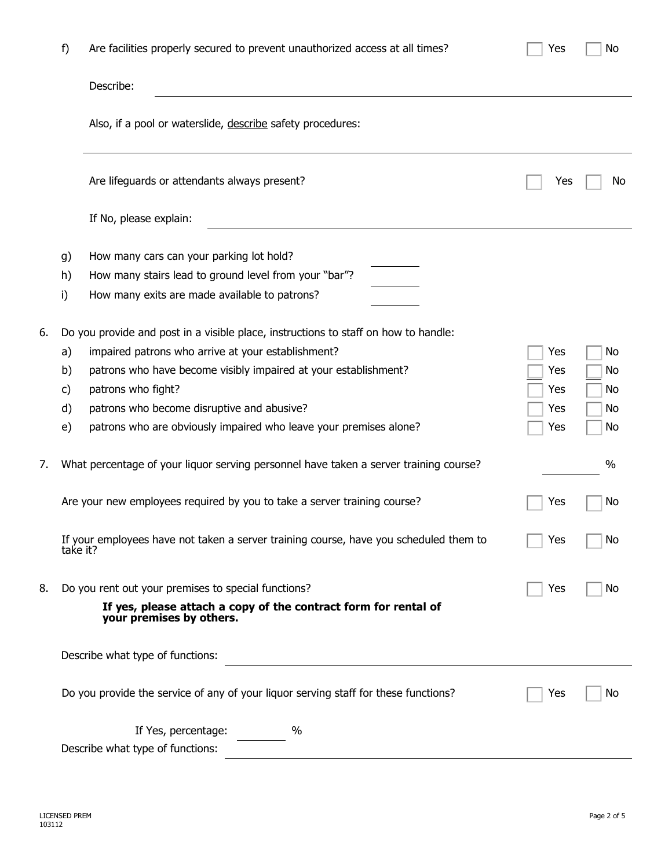|    | f)                         | Are facilities properly secured to prevent unauthorized access at all times?                                                                                                                                                                                                                                                                          | Yes                             | No                         |
|----|----------------------------|-------------------------------------------------------------------------------------------------------------------------------------------------------------------------------------------------------------------------------------------------------------------------------------------------------------------------------------------------------|---------------------------------|----------------------------|
|    |                            | Describe:                                                                                                                                                                                                                                                                                                                                             |                                 |                            |
|    |                            | Also, if a pool or waterslide, describe safety procedures:                                                                                                                                                                                                                                                                                            |                                 |                            |
|    |                            | Are lifeguards or attendants always present?                                                                                                                                                                                                                                                                                                          | Yes                             | Νo                         |
|    |                            | If No, please explain:                                                                                                                                                                                                                                                                                                                                |                                 |                            |
|    | g)<br>h)<br>i)             | How many cars can your parking lot hold?<br>How many stairs lead to ground level from your "bar"?<br>How many exits are made available to patrons?                                                                                                                                                                                                    |                                 |                            |
| 6. | a)<br>b)<br>c)<br>d)<br>e) | Do you provide and post in a visible place, instructions to staff on how to handle:<br>impaired patrons who arrive at your establishment?<br>patrons who have become visibly impaired at your establishment?<br>patrons who fight?<br>patrons who become disruptive and abusive?<br>patrons who are obviously impaired who leave your premises alone? | Yes<br>Yes<br>Yes<br>Yes<br>Yes | No<br>No<br>No<br>No<br>No |
| 7. |                            | What percentage of your liquor serving personnel have taken a server training course?                                                                                                                                                                                                                                                                 |                                 | $\%$                       |
|    |                            | Are your new employees required by you to take a server training course?                                                                                                                                                                                                                                                                              | Yes                             | No                         |
|    | take it?                   | If your employees have not taken a server training course, have you scheduled them to                                                                                                                                                                                                                                                                 | Yes                             | No                         |
| 8. |                            | Do you rent out your premises to special functions?<br>If yes, please attach a copy of the contract form for rental of<br>your premises by others.                                                                                                                                                                                                    | Yes                             | No                         |
|    |                            | Describe what type of functions:                                                                                                                                                                                                                                                                                                                      |                                 |                            |
|    |                            | Do you provide the service of any of your liquor serving staff for these functions?                                                                                                                                                                                                                                                                   | Yes                             | No                         |
|    |                            | If Yes, percentage:<br>$\%$<br>Describe what type of functions:                                                                                                                                                                                                                                                                                       |                                 |                            |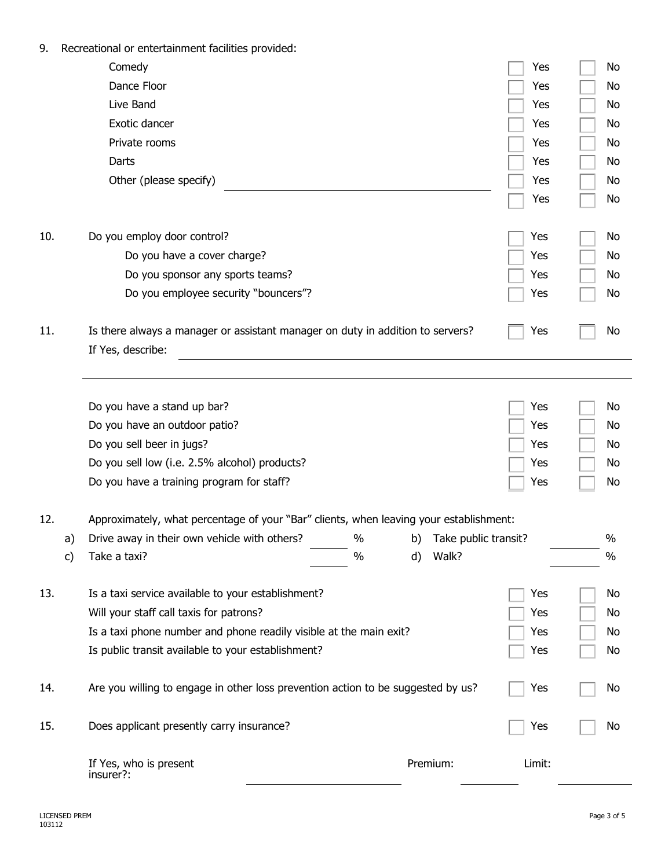| 9.  |    | Recreational or entertainment facilities provided:                                                  |            |                      |            |          |
|-----|----|-----------------------------------------------------------------------------------------------------|------------|----------------------|------------|----------|
|     |    | Comedy                                                                                              |            |                      | Yes        | No       |
|     |    | Dance Floor                                                                                         |            |                      | Yes        | No       |
|     |    | Live Band                                                                                           |            |                      | Yes        | No       |
|     |    | Exotic dancer                                                                                       |            |                      | Yes        | No       |
|     |    | Private rooms                                                                                       |            |                      | Yes        | No       |
|     |    | Darts                                                                                               |            |                      | Yes        | No       |
|     |    | Other (please specify)                                                                              |            |                      | Yes        | No       |
|     |    |                                                                                                     |            |                      | Yes        | No       |
| 10. |    | Do you employ door control?                                                                         |            |                      | Yes        | No       |
|     |    | Do you have a cover charge?                                                                         |            |                      | Yes        |          |
|     |    |                                                                                                     |            |                      |            | No       |
|     |    | Do you sponsor any sports teams?                                                                    |            |                      | Yes        | No       |
|     |    | Do you employee security "bouncers"?                                                                |            |                      | Yes        | No       |
| 11. |    | Is there always a manager or assistant manager on duty in addition to servers?<br>If Yes, describe: |            |                      | Yes        | No       |
|     |    |                                                                                                     |            |                      |            |          |
|     |    | Do you have a stand up bar?                                                                         |            |                      | Yes<br>Yes | No<br>No |
|     |    | Do you have an outdoor patio?                                                                       |            |                      |            |          |
|     |    | Do you sell beer in jugs?                                                                           |            |                      | Yes        | No       |
|     |    | Do you sell low (i.e. 2.5% alcohol) products?                                                       |            |                      | Yes        | No       |
|     |    | Do you have a training program for staff?                                                           |            |                      | Yes        | No       |
| 12. |    | Approximately, what percentage of your "Bar" clients, when leaving your establishment:              |            |                      |            |          |
|     | a) | Drive away in their own vehicle with others?                                                        | $\%$<br>b) | Take public transit? |            | $\%$     |
|     | c) | Take a taxi?                                                                                        | $\%$<br>d) | Walk?                |            | $\%$     |
| 13. |    | Is a taxi service available to your establishment?                                                  |            |                      | Yes        | No       |
|     |    | Will your staff call taxis for patrons?                                                             |            |                      | Yes        | No       |
|     |    | Is a taxi phone number and phone readily visible at the main exit?                                  |            |                      | Yes        | No       |
|     |    | Is public transit available to your establishment?                                                  |            |                      | Yes        | No       |
| 14. |    | Are you willing to engage in other loss prevention action to be suggested by us?                    |            |                      | Yes        | No       |
| 15. |    | Does applicant presently carry insurance?                                                           |            |                      | Yes        | No       |
|     |    | If Yes, who is present<br>insurer?:                                                                 |            | Premium:             | Limit:     |          |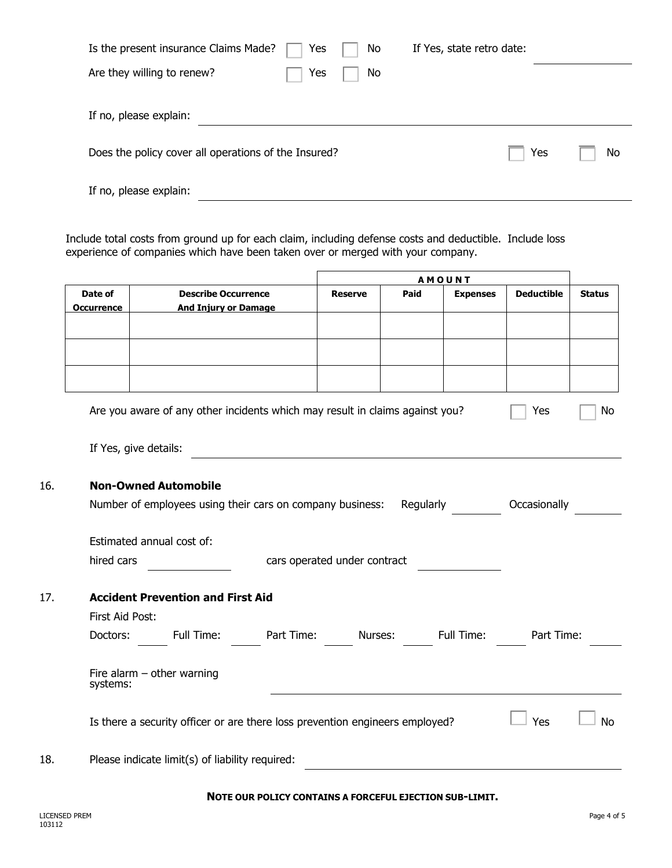| Is the present insurance Claims Made?                | Yes | No | If Yes, state retro date: |     |    |
|------------------------------------------------------|-----|----|---------------------------|-----|----|
| Are they willing to renew?                           | Yes | No |                           |     |    |
|                                                      |     |    |                           |     |    |
| If no, please explain:                               |     |    |                           |     |    |
|                                                      |     |    |                           |     |    |
| Does the policy cover all operations of the Insured? |     |    |                           | Yes | No |
|                                                      |     |    |                           |     |    |
| If no, please explain:                               |     |    |                           |     |    |

Include total costs from ground up for each claim, including defense costs and deductible. Include loss experience of companies which have been taken over or merged with your company.

|                   |                                                                                  |                                                         |                |      | <b>AMOUNT</b>   |                   |               |
|-------------------|----------------------------------------------------------------------------------|---------------------------------------------------------|----------------|------|-----------------|-------------------|---------------|
| Date of           | <b>Describe Occurrence</b>                                                       |                                                         | <b>Reserve</b> | Paid | <b>Expenses</b> | <b>Deductible</b> | <b>Status</b> |
| <b>Occurrence</b> | <b>And Injury or Damage</b>                                                      |                                                         |                |      |                 |                   |               |
|                   |                                                                                  |                                                         |                |      |                 |                   |               |
|                   |                                                                                  |                                                         |                |      |                 |                   |               |
|                   |                                                                                  |                                                         |                |      |                 |                   |               |
|                   |                                                                                  |                                                         |                |      |                 |                   |               |
|                   | Are you aware of any other incidents which may result in claims against you?     |                                                         |                |      |                 | Yes               | No            |
|                   | If Yes, give details:                                                            |                                                         |                |      |                 |                   |               |
|                   | <b>Non-Owned Automobile</b>                                                      |                                                         |                |      |                 |                   |               |
|                   | Number of employees using their cars on company business: Regularly Cocasionally |                                                         |                |      |                 |                   |               |
|                   |                                                                                  |                                                         |                |      |                 |                   |               |
|                   | Estimated annual cost of:                                                        |                                                         |                |      |                 |                   |               |
| hired cars        |                                                                                  | cars operated under contract                            |                |      |                 |                   |               |
|                   |                                                                                  |                                                         |                |      |                 |                   |               |
|                   | <b>Accident Prevention and First Aid</b>                                         |                                                         |                |      |                 |                   |               |
| First Aid Post:   |                                                                                  |                                                         |                |      |                 |                   |               |
|                   | Doctors: Full Time: Part Time: Nurses: Full Time: Part Time:                     |                                                         |                |      |                 |                   |               |
| systems:          | Fire alarm $-$ other warning                                                     |                                                         |                |      |                 |                   |               |
|                   | Is there a security officer or are there loss prevention engineers employed?     |                                                         |                |      |                 | Yes               | <b>No</b>     |
|                   | Please indicate limit(s) of liability required:                                  |                                                         |                |      |                 |                   |               |
|                   |                                                                                  | NOTE OUR POLICY CONTAINS A FORCEFUL EJECTION SUB-LIMIT. |                |      |                 |                   |               |